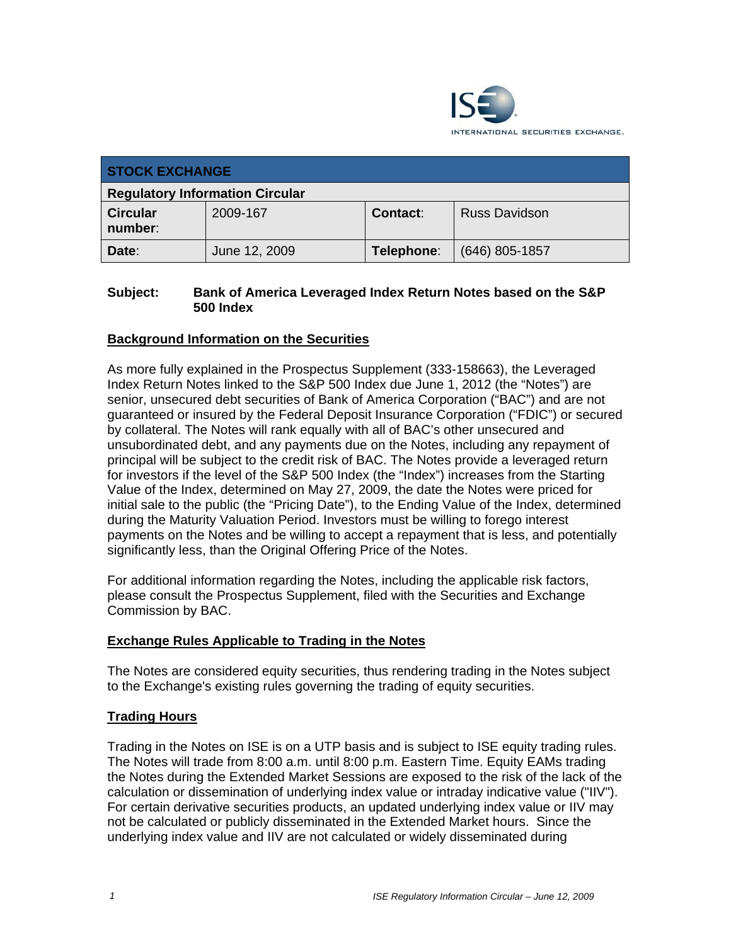

| <b>STOCK EXCHANGE</b>                  |               |            |                      |
|----------------------------------------|---------------|------------|----------------------|
| <b>Regulatory Information Circular</b> |               |            |                      |
| <b>Circular</b><br>number:             | 2009-167      | Contact:   | <b>Russ Davidson</b> |
| Date:                                  | June 12, 2009 | Telephone: | $(646)$ 805-1857     |

### **Subject: Bank of America Leveraged Index Return Notes based on the S&P 500 Index**

## **Background Information on the Securities**

As more fully explained in the Prospectus Supplement (333-158663), the Leveraged Index Return Notes linked to the S&P 500 Index due June 1, 2012 (the "Notes") are senior, unsecured debt securities of Bank of America Corporation ("BAC") and are not guaranteed or insured by the Federal Deposit Insurance Corporation ("FDIC") or secured by collateral. The Notes will rank equally with all of BAC's other unsecured and unsubordinated debt, and any payments due on the Notes, including any repayment of principal will be subject to the credit risk of BAC. The Notes provide a leveraged return for investors if the level of the S&P 500 Index (the "Index") increases from the Starting Value of the Index, determined on May 27, 2009, the date the Notes were priced for initial sale to the public (the "Pricing Date"), to the Ending Value of the Index, determined during the Maturity Valuation Period. Investors must be willing to forego interest payments on the Notes and be willing to accept a repayment that is less, and potentially significantly less, than the Original Offering Price of the Notes.

For additional information regarding the Notes, including the applicable risk factors, please consult the Prospectus Supplement, filed with the Securities and Exchange Commission by BAC.

### **Exchange Rules Applicable to Trading in the Notes**

The Notes are considered equity securities, thus rendering trading in the Notes subject to the Exchange's existing rules governing the trading of equity securities.

### **Trading Hours**

Trading in the Notes on ISE is on a UTP basis and is subject to ISE equity trading rules. The Notes will trade from 8:00 a.m. until 8:00 p.m. Eastern Time. Equity EAMs trading the Notes during the Extended Market Sessions are exposed to the risk of the lack of the calculation or dissemination of underlying index value or intraday indicative value ("IIV"). For certain derivative securities products, an updated underlying index value or IIV may not be calculated or publicly disseminated in the Extended Market hours. Since the underlying index value and IIV are not calculated or widely disseminated during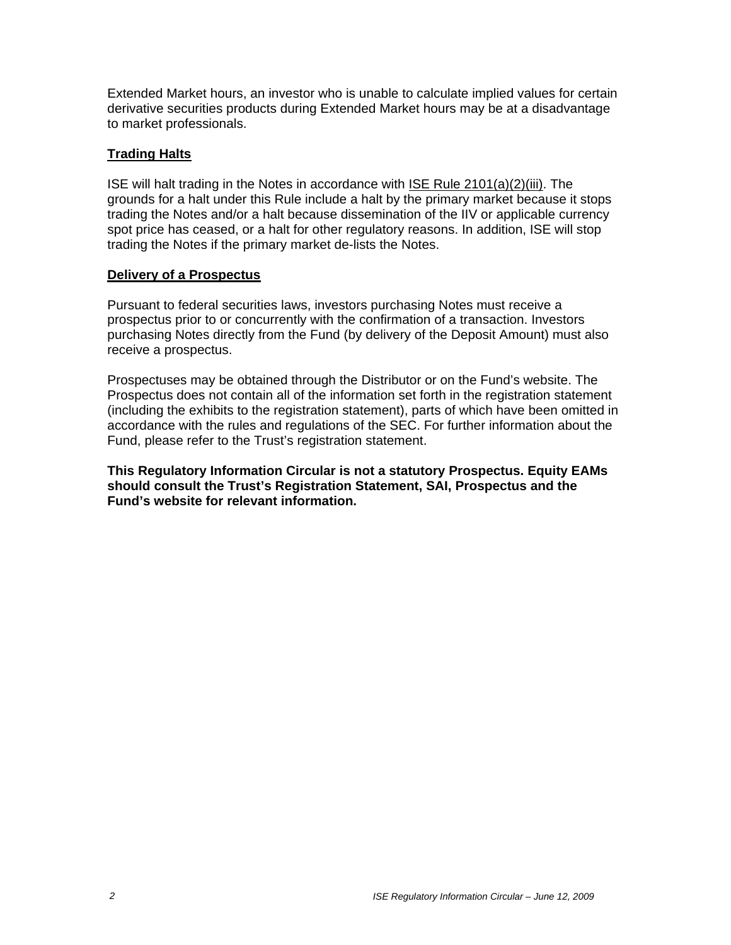Extended Market hours, an investor who is unable to calculate implied values for certain derivative securities products during Extended Market hours may be at a disadvantage to market professionals.

### **Trading Halts**

ISE will halt trading in the Notes in accordance with ISE Rule 2101(a)(2)(iii). The grounds for a halt under this Rule include a halt by the primary market because it stops trading the Notes and/or a halt because dissemination of the IIV or applicable currency spot price has ceased, or a halt for other regulatory reasons. In addition, ISE will stop trading the Notes if the primary market de-lists the Notes.

### **Delivery of a Prospectus**

Pursuant to federal securities laws, investors purchasing Notes must receive a prospectus prior to or concurrently with the confirmation of a transaction. Investors purchasing Notes directly from the Fund (by delivery of the Deposit Amount) must also receive a prospectus.

Prospectuses may be obtained through the Distributor or on the Fund's website. The Prospectus does not contain all of the information set forth in the registration statement (including the exhibits to the registration statement), parts of which have been omitted in accordance with the rules and regulations of the SEC. For further information about the Fund, please refer to the Trust's registration statement.

**This Regulatory Information Circular is not a statutory Prospectus. Equity EAMs should consult the Trust's Registration Statement, SAI, Prospectus and the Fund's website for relevant information.**